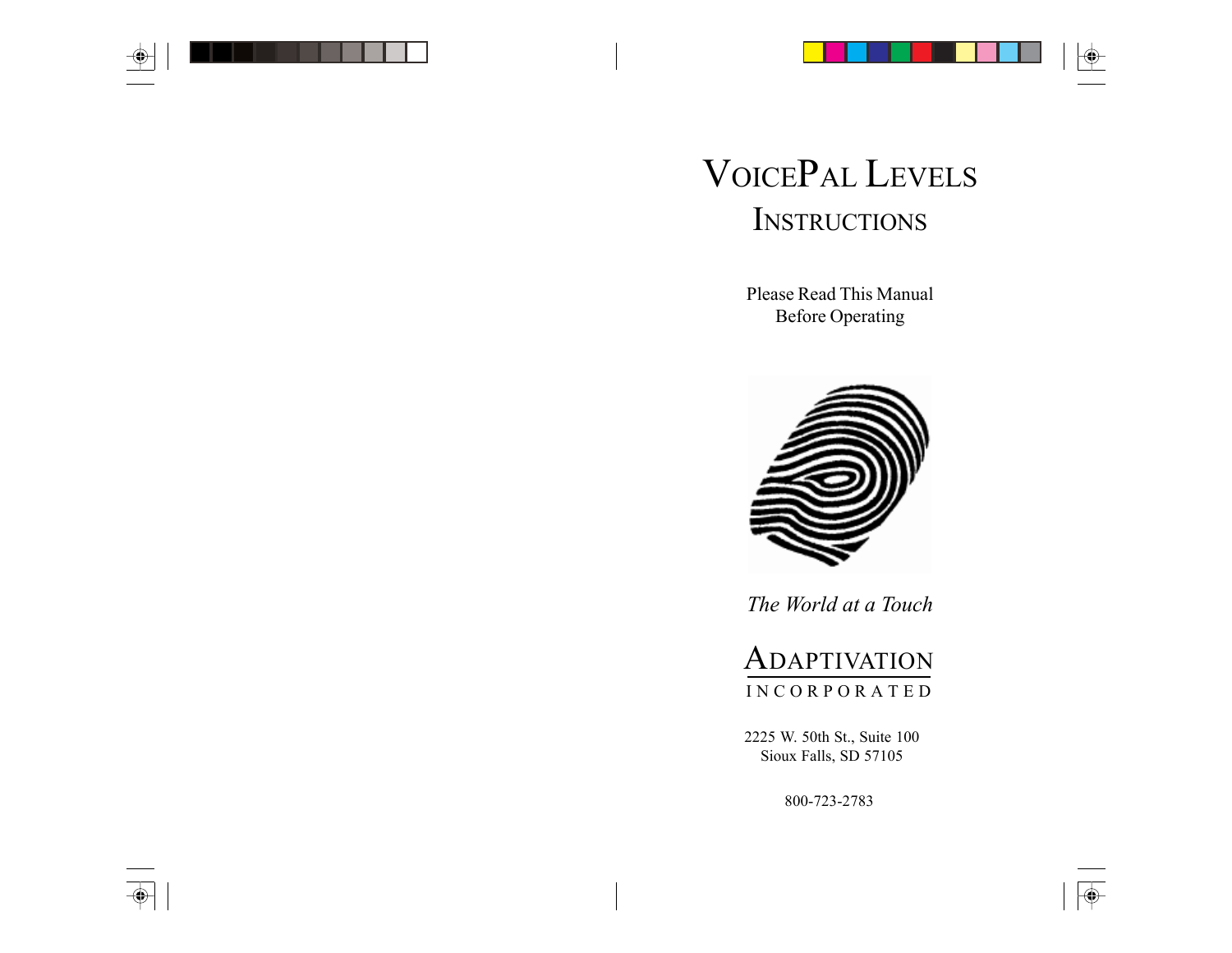

 $\overline{\bigcirc}$ 

# VOICEPAL LEVELS **INSTRUCTIONS**

Please Read This Manual Before Operating



*The World at a Touch*

# **ADAPTIVATION** I N C O R P O R A T E D

2225 W. 50th St., Suite 100 Sioux Falls, SD 57105

800-723-2783

 $\bigoplus$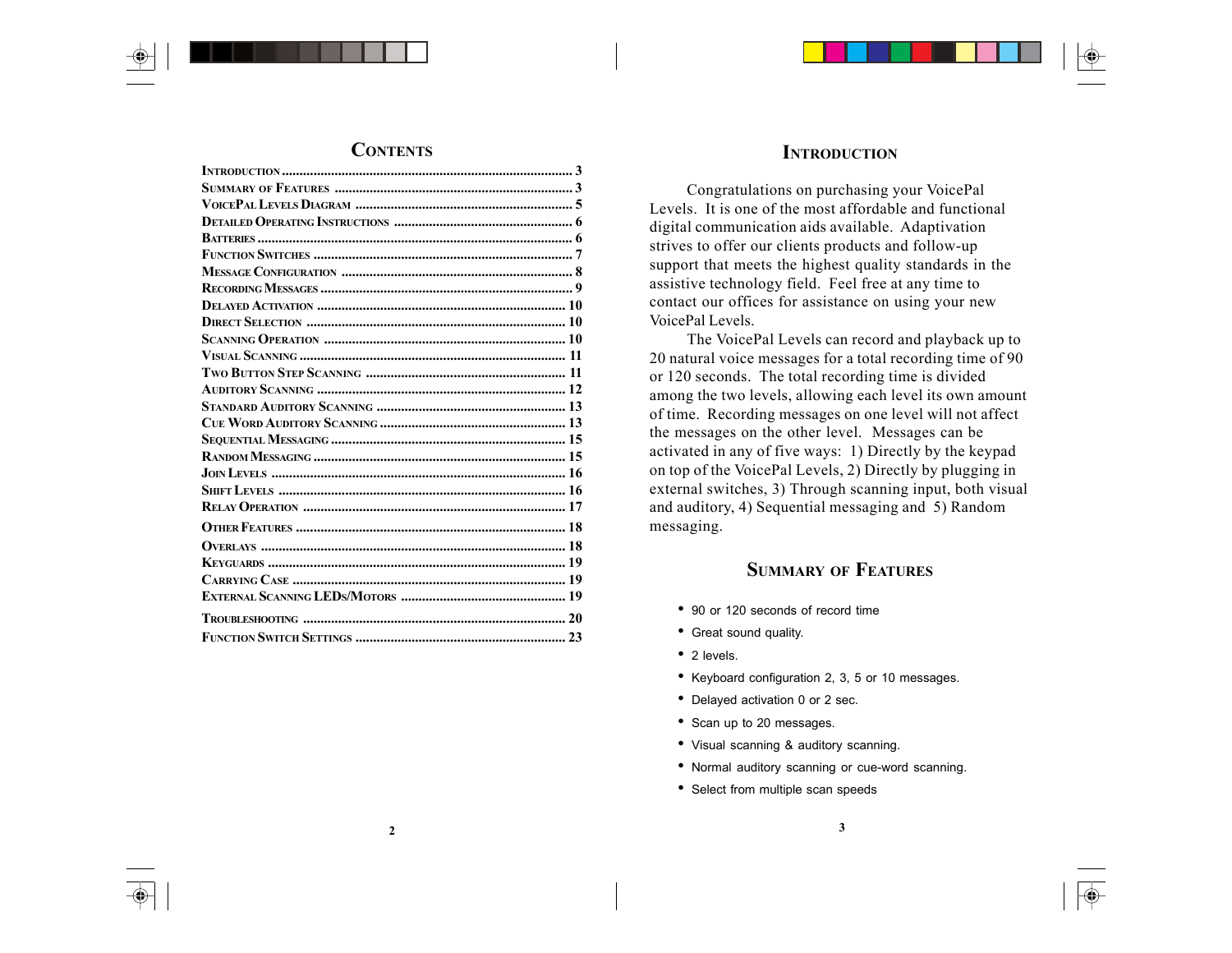

# **INTRODUCTION**

Congratulations on purchasing your VoicePal Levels. It is one of the most affordable and functional digital communication aids available. Adaptivation strives to offer our clients products and follow-up support that meets the highest quality standards in the assistive technology field. Feel free at any time to contact our offices for assistance on using your new VoicePal Levels.

The VoicePal Levels can record and playback up to 20 natural voice messages for a total recording time of 90 or 120 seconds. The total recording time is divided among the two levels, allowing each level its own amount of time. Recording messages on one level will not affect the messages on the other level. Messages can be activated in any of five ways: 1) Directly by the keypad on top of the VoicePal Levels, 2) Directly by plugging in external switches, 3) Through scanning input, both visual and auditory, 4) Sequential messaging and 5) Random messaging.

# **SUMMARY OF FEATURES**

- 90 or 120 seconds of record time
- Great sound quality.
- 2 levels.
- Keyboard configuration 2, 3, 5 or 10 messages.
- Delayed activation 0 or 2 sec.
- Scan up to 20 messages.
- Visual scanning & auditory scanning.
- Normal auditory scanning or cue-word scanning.
- Select from multiple scan speeds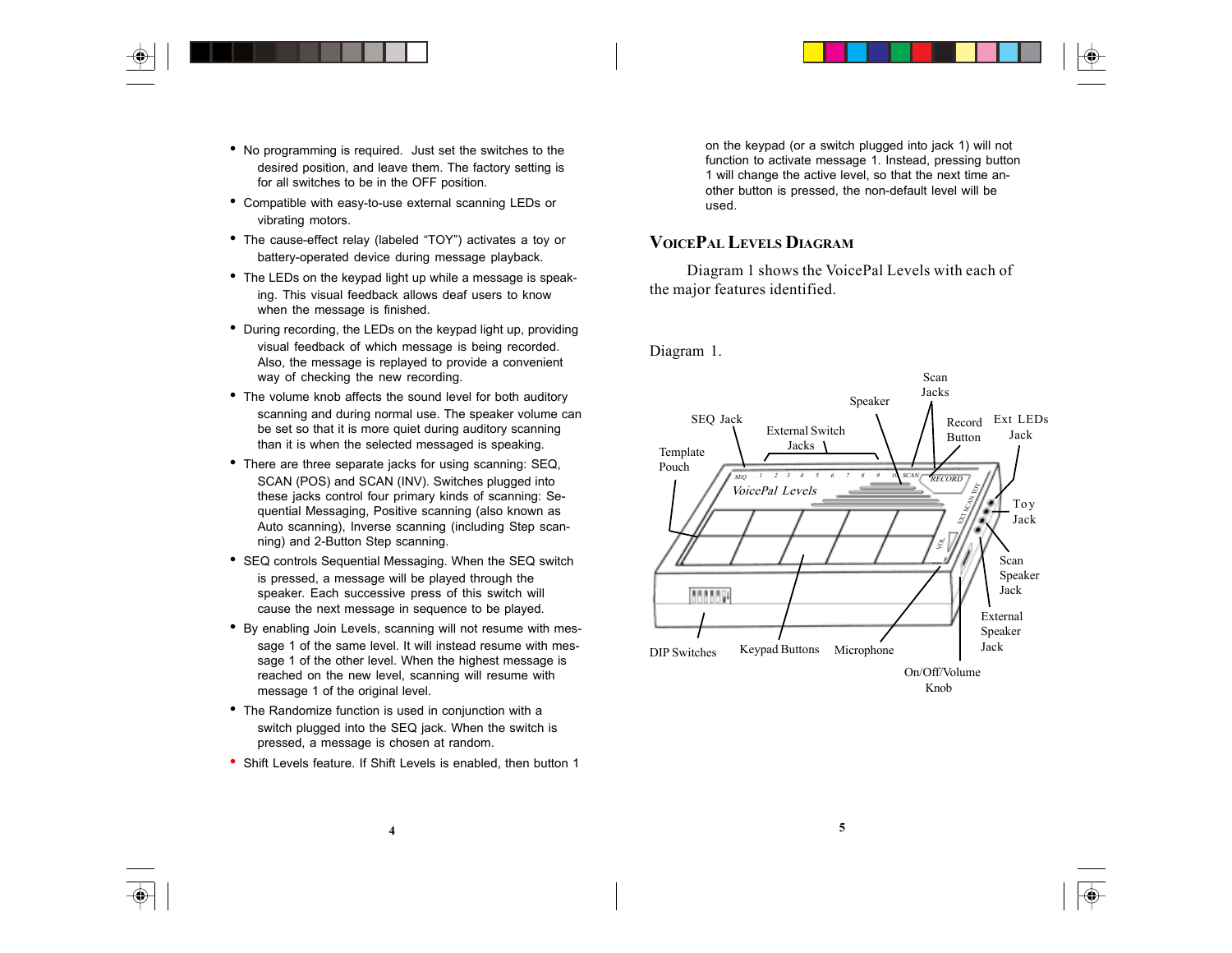- No programming is required. Just set the switches to the desired position, and leave them. The factory setting is for all switches to be in the OFF position.
- Compatible with easy-to-use external scanning LEDs or vibrating motors.
- The cause-effect relay (labeled "TOY") activates a toy or battery-operated device during message playback.
- The LEDs on the keypad light up while a message is speaking. This visual feedback allows deaf users to know when the message is finished.
- During recording, the LEDs on the keypad light up, providing visual feedback of which message is being recorded. Also, the message is replayed to provide a convenient way of checking the new recording.
- The volume knob affects the sound level for both auditory scanning and during normal use. The speaker volume can be set so that it is more quiet during auditory scanning than it is when the selected messaged is speaking.
- There are three separate jacks for using scanning: SEQ, SCAN (POS) and SCAN (INV). Switches plugged into these jacks control four primary kinds of scanning: Sequential Messaging, Positive scanning (also known as Auto scanning), Inverse scanning (including Step scanning) and 2-Button Step scanning.
- SEQ controls Sequential Messaging. When the SEQ switch is pressed, a message will be played through the speaker. Each successive press of this switch will cause the next message in sequence to be played.
- By enabling Join Levels, scanning will not resume with message 1 of the same level. It will instead resume with message 1 of the other level. When the highest message is reached on the new level, scanning will resume with message 1 of the original level.
- The Randomize function is used in conjunction with a switch plugged into the SEQ jack. When the switch is pressed, a message is chosen at random.
- Shift Levels feature. If Shift Levels is enabled, then button 1

on the keypad (or a switch plugged into jack 1) will not function to activate message 1. Instead, pressing button 1 will change the active level, so that the next time another button is pressed, the non-default level will be used.

# **VOICEPAL LEVELS DIAGRAM**

Diagram 1 shows the VoicePal Levels with each of the major features identified.

Diagram 1.



◈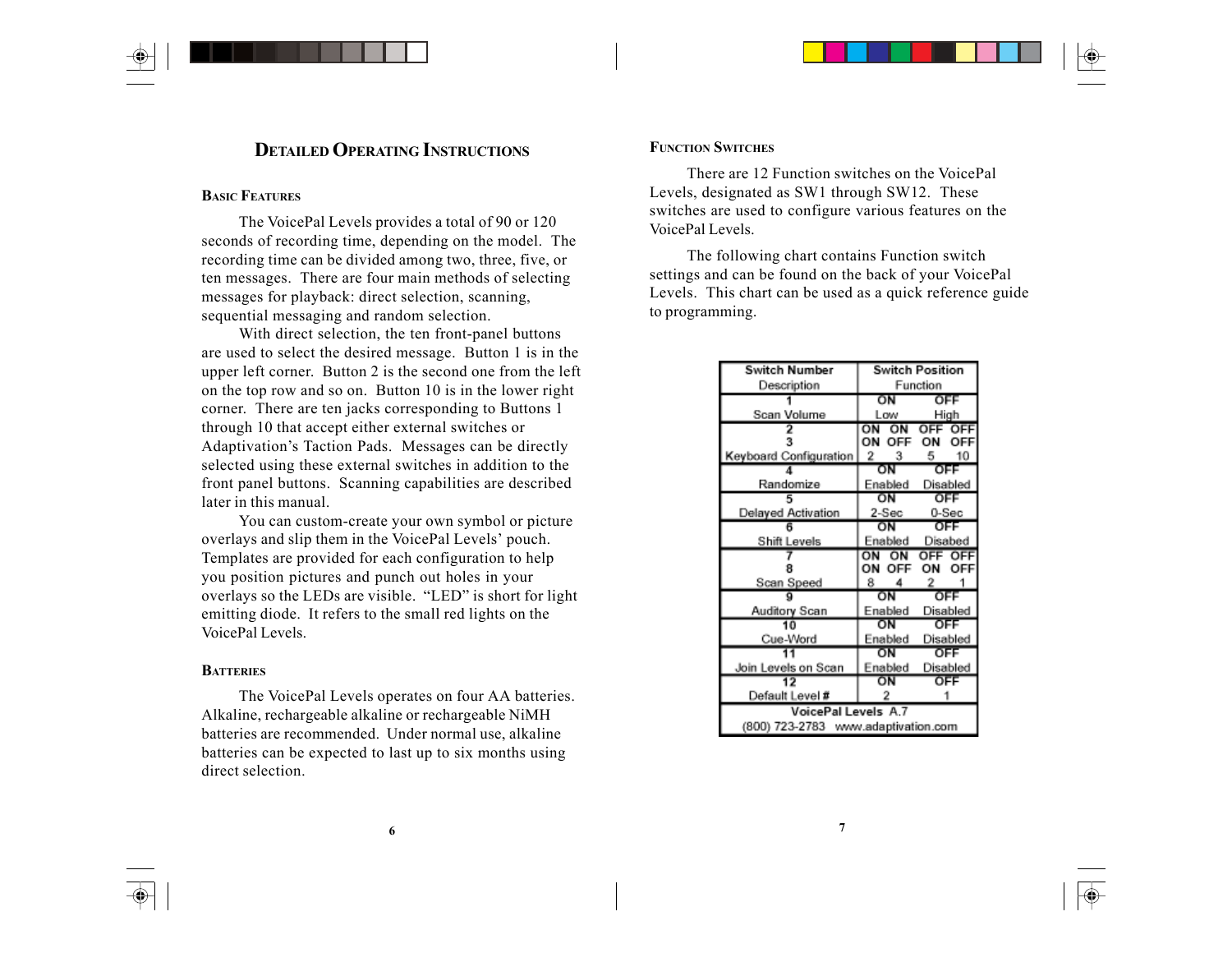# **DETAILED OPERATING INSTRUCTIONS**

# **BASIC FEATURES**

The VoicePal Levels provides a total of 90 or 120 seconds of recording time, depending on the model. The recording time can be divided among two, three, five, or ten messages. There are four main methods of selecting messages for playback: direct selection, scanning, sequential messaging and random selection.

With direct selection, the ten front-panel buttons are used to select the desired message. Button 1 is in the upper left corner. Button 2 is the second one from the left on the top row and so on. Button 10 is in the lower right corner. There are ten jacks corresponding to Buttons 1 through 10 that accept either external switches or Adaptivation's Taction Pads. Messages can be directly selected using these external switches in addition to the front panel buttons. Scanning capabilities are described later in this manual.

You can custom-create your own symbol or picture overlays and slip them in the VoicePal Levels' pouch. Templates are provided for each configuration to help you position pictures and punch out holes in your overlays so the LEDs are visible. "LED" is short for light emitting diode. It refers to the small red lights on the VoicePal Levels.

#### **BATTERIES**

The VoicePal Levels operates on four AA batteries. Alkaline, rechargeable alkaline or rechargeable NiMH batteries are recommended. Under normal use, alkaline batteries can be expected to last up to six months using direct selection.

#### **FUNCTION SWITCHES**

There are 12 Function switches on the VoicePal Levels, designated as SW1 through SW12. These switches are used to configure various features on the VoicePal Levels.

The following chart contains Function switch settings and can be found on the back of your VoicePal Levels. This chart can be used as a quick reference guide to programming.

| Switch Number          | <b>Switch Position</b> |          |
|------------------------|------------------------|----------|
| Description            | Function               |          |
|                        | ΟN                     | OFF      |
| Scan Volume            | Low                    | High     |
|                        | ON ON                  | OFF OF   |
|                        | OΝ                     |          |
| Keyboard Configuration | - 2<br>3               | 10<br>5  |
|                        | ΟN                     | OFF      |
| Randomize              | Enabled                | Disabled |
|                        | ON                     | OFF      |
| Delayed Activation     | $2-Sec$                | 0-Sec    |
|                        | OΝ                     | OFF      |
| Shift Levels           | Enabled                | Disabed  |
|                        | ΩN<br>ON               | OFF OF   |
|                        | ΟN                     |          |
| Scan Speed             | 8<br>4                 | 2        |
|                        | ON                     | OFF      |
| Auditory Scan          | Enabled                | Disabled |
| 10                     | ŌN                     | OFF      |
| Cue-Word               | Enabled                | Disabled |
|                        | ΟN                     | OFF      |
|                        | Enabled                | Disabled |
| Join Levels on Scan    |                        |          |
|                        | ΟN                     | OFF      |
| Default Level #        | 2                      |          |
| VoicePal Levels A.7    |                        |          |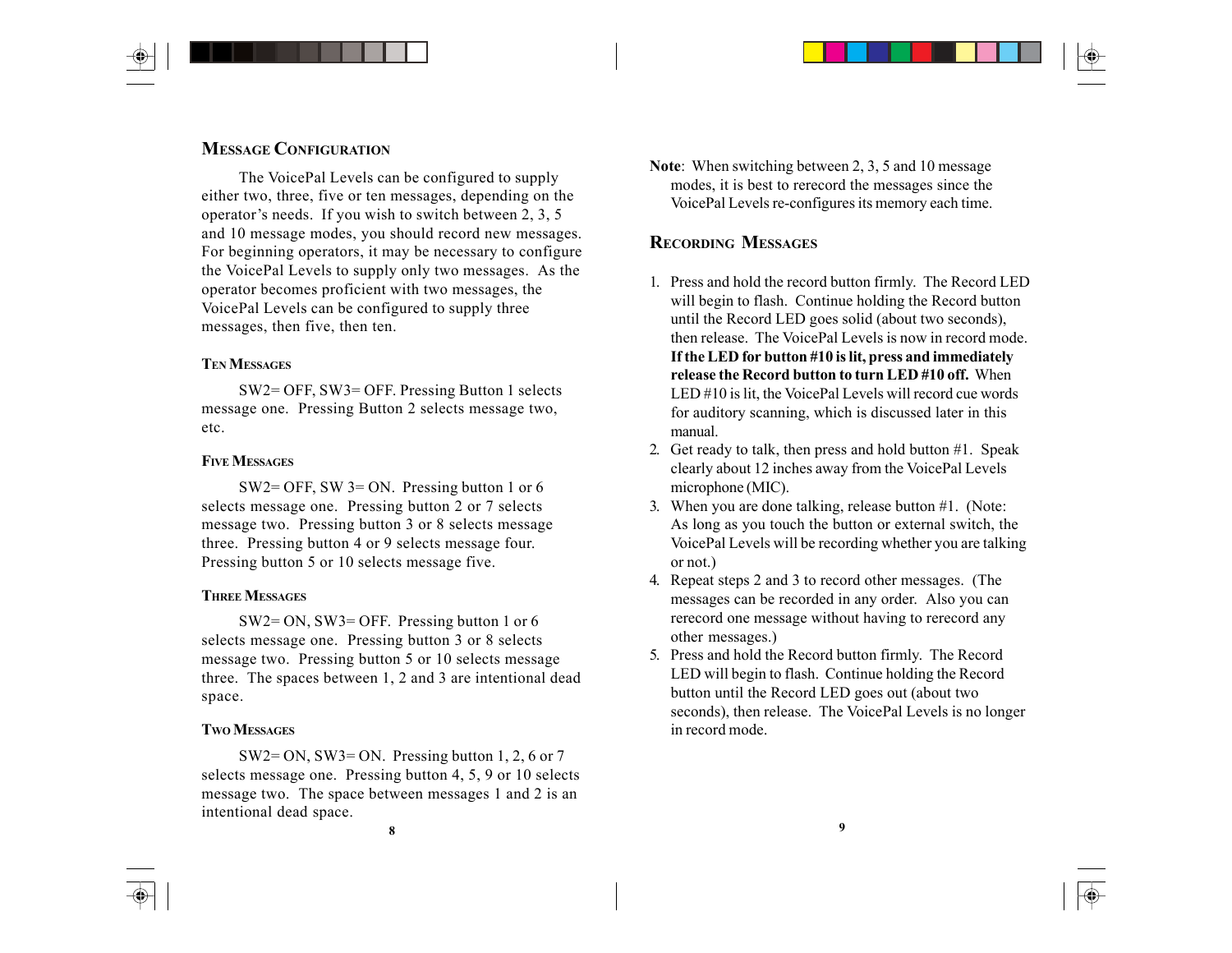# **MESSAGE CONFIGURATION**

The VoicePal Levels can be configured to supply either two, three, five or ten messages, depending on the operator's needs. If you wish to switch between 2, 3, 5 and 10 message modes, you should record new messages. For beginning operators, it may be necessary to configure the VoicePal Levels to supply only two messages. As the operator becomes proficient with two messages, the VoicePal Levels can be configured to supply three messages, then five, then ten.

# **TEN MESSAGES**

SW2= OFF, SW3= OFF. Pressing Button 1 selects message one. Pressing Button 2 selects message two, etc.

# **FIVE MESSAGES**

SW2= OFF, SW 3= ON. Pressing button 1 or 6 selects message one. Pressing button 2 or 7 selects message two. Pressing button 3 or 8 selects message three. Pressing button 4 or 9 selects message four. Pressing button 5 or 10 selects message five.

### **THREE MESSAGES**

SW2= ON, SW3= OFF. Pressing button 1 or 6 selects message one. Pressing button 3 or 8 selects message two. Pressing button 5 or 10 selects message three. The spaces between 1, 2 and 3 are intentional dead space.

#### **TWO MESSAGES**

SW2= ON, SW3= ON. Pressing button 1, 2, 6 or 7 selects message one. Pressing button 4, 5, 9 or 10 selects message two. The space between messages 1 and 2 is an intentional dead space.

**Note**: When switching between 2, 3, 5 and 10 message modes, it is best to rerecord the messages since the VoicePal Levels re-configures its memory each time.

# **RECORDING MESSAGES**

- 1. Press and hold the record button firmly. The Record LED will begin to flash. Continue holding the Record button until the Record LED goes solid (about two seconds), then release. The VoicePal Levels is now in record mode. **If the LED for button #10 is lit, press and immediately release the Record button to turn LED #10 off.** When LED #10 is lit, the VoicePal Levels will record cue words for auditory scanning, which is discussed later in this manual.
- 2. Get ready to talk, then press and hold button #1. Speak clearly about 12 inches away from the VoicePal Levels microphone (MIC).
- 3. When you are done talking, release button #1. (Note: As long as you touch the button or external switch, the VoicePal Levels will be recording whether you are talking or not.)
- 4. Repeat steps 2 and 3 to record other messages. (The messages can be recorded in any order. Also you can rerecord one message without having to rerecord any other messages.)
- 5. Press and hold the Record button firmly. The Record LED will begin to flash. Continue holding the Record button until the Record LED goes out (about two seconds), then release. The VoicePal Levels is no longer in record mode.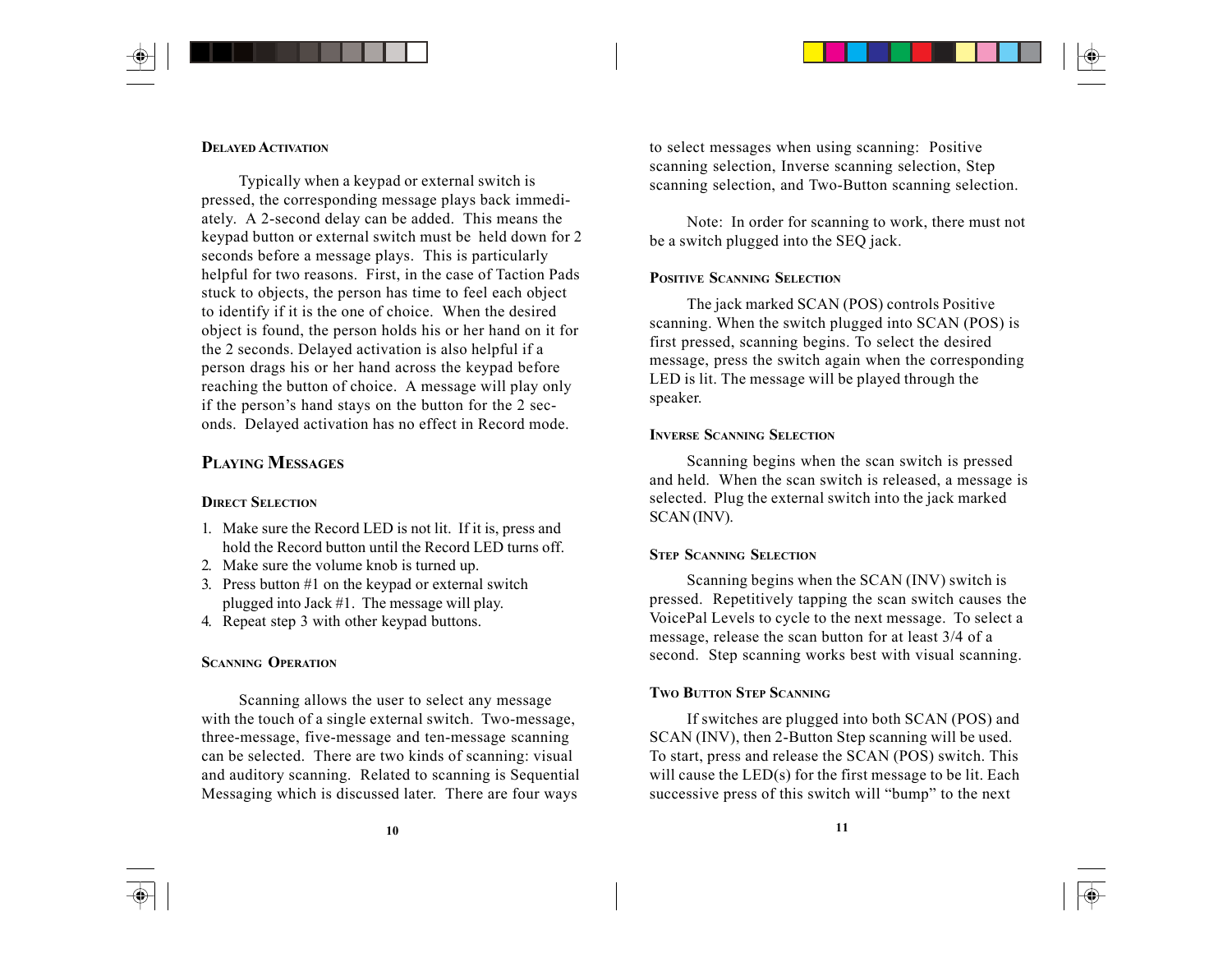### **DELAYED ACTIVATION**

Typically when a keypad or external switch is pressed, the corresponding message plays back immediately. A 2-second delay can be added. This means the keypad button or external switch must be held down for 2 seconds before a message plays. This is particularly helpful for two reasons. First, in the case of Taction Pads stuck to objects, the person has time to feel each object to identify if it is the one of choice. When the desired object is found, the person holds his or her hand on it for the 2 seconds. Delayed activation is also helpful if a person drags his or her hand across the keypad before reaching the button of choice. A message will play only if the person's hand stays on the button for the 2 seconds. Delayed activation has no effect in Record mode.

# **PLAYING MESSAGES**

#### **DIRECT SELECTION**

- 1. Make sure the Record LED is not lit. If it is, press and hold the Record button until the Record LED turns off.
- 2. Make sure the volume knob is turned up.
- 3. Press button #1 on the keypad or external switch plugged into Jack #1. The message will play.
- 4. Repeat step 3 with other keypad buttons.

### **SCANNING OPERATION**

Scanning allows the user to select any message with the touch of a single external switch. Two-message, three-message, five-message and ten-message scanning can be selected. There are two kinds of scanning: visual and auditory scanning. Related to scanning is Sequential Messaging which is discussed later. There are four ways

to select messages when using scanning: Positive scanning selection, Inverse scanning selection, Step scanning selection, and Two-Button scanning selection.

Note: In order for scanning to work, there must not be a switch plugged into the SEQ jack.

#### **POSITIVE SCANNING SELECTION**

The jack marked SCAN (POS) controls Positive scanning. When the switch plugged into SCAN (POS) is first pressed, scanning begins. To select the desired message, press the switch again when the corresponding LED is lit. The message will be played through the speaker.

#### **INVERSE SCANNING SELECTION**

Scanning begins when the scan switch is pressed and held. When the scan switch is released, a message is selected. Plug the external switch into the jack marked SCAN (INV).

#### **STEP SCANNING SELECTION**

Scanning begins when the SCAN (INV) switch is pressed. Repetitively tapping the scan switch causes the VoicePal Levels to cycle to the next message. To select a message, release the scan button for at least 3/4 of a second. Step scanning works best with visual scanning.

#### **TWO BUTTON STEP SCANNING**

If switches are plugged into both SCAN (POS) and SCAN (INV), then 2-Button Step scanning will be used. To start, press and release the SCAN (POS) switch. This will cause the LED(s) for the first message to be lit. Each successive press of this switch will "bump" to the next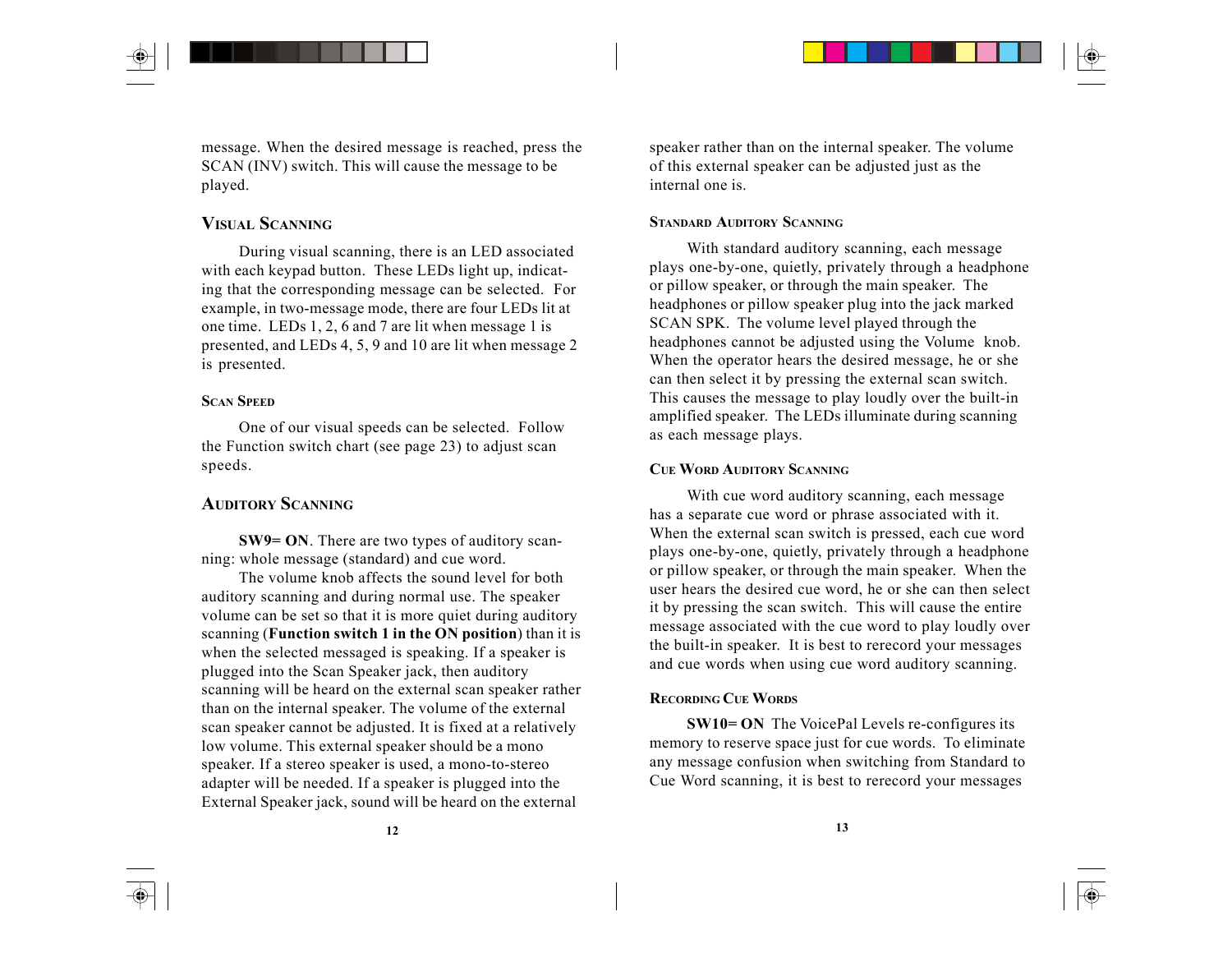

message. When the desired message is reached, press the SCAN (INV) switch. This will cause the message to be played.

# **VISUAL SCANNING**

During visual scanning, there is an LED associated with each keypad button. These LEDs light up, indicating that the corresponding message can be selected. For example, in two-message mode, there are four LEDs lit at one time. LEDs 1, 2, 6 and 7 are lit when message 1 is presented, and LEDs 4, 5, 9 and 10 are lit when message 2 is presented.

# **SCAN SPEED**

One of our visual speeds can be selected. Follow the Function switch chart (see page 23) to adjust scan speeds.

# **AUDITORY SCANNING**

**SW9= ON**. There are two types of auditory scanning: whole message (standard) and cue word.

The volume knob affects the sound level for both auditory scanning and during normal use. The speaker volume can be set so that it is more quiet during auditory scanning (**Function switch 1 in the ON position**) than it is when the selected messaged is speaking. If a speaker is plugged into the Scan Speaker jack, then auditory scanning will be heard on the external scan speaker rather than on the internal speaker. The volume of the external scan speaker cannot be adjusted. It is fixed at a relatively low volume. This external speaker should be a mono speaker. If a stereo speaker is used, a mono-to-stereo adapter will be needed. If a speaker is plugged into the External Speaker jack, sound will be heard on the external

speaker rather than on the internal speaker. The volume of this external speaker can be adjusted just as the internal one is.

#### **STANDARD AUDITORY SCANNING**

With standard auditory scanning, each message plays one-by-one, quietly, privately through a headphone or pillow speaker, or through the main speaker. The headphones or pillow speaker plug into the jack marked SCAN SPK. The volume level played through the headphones cannot be adjusted using the Volume knob. When the operator hears the desired message, he or she can then select it by pressing the external scan switch. This causes the message to play loudly over the built-in amplified speaker. The LEDs illuminate during scanning as each message plays.

### **CUE WORD AUDITORY SCANNING**

With cue word auditory scanning, each message has a separate cue word or phrase associated with it. When the external scan switch is pressed, each cue word plays one-by-one, quietly, privately through a headphone or pillow speaker, or through the main speaker. When the user hears the desired cue word, he or she can then select it by pressing the scan switch. This will cause the entire message associated with the cue word to play loudly over the built-in speaker. It is best to rerecord your messages and cue words when using cue word auditory scanning.

#### **RECORDING CUE WORDS**

**SW10= ON** The VoicePal Levels re-configures its memory to reserve space just for cue words. To eliminate any message confusion when switching from Standard to Cue Word scanning, it is best to rerecord your messages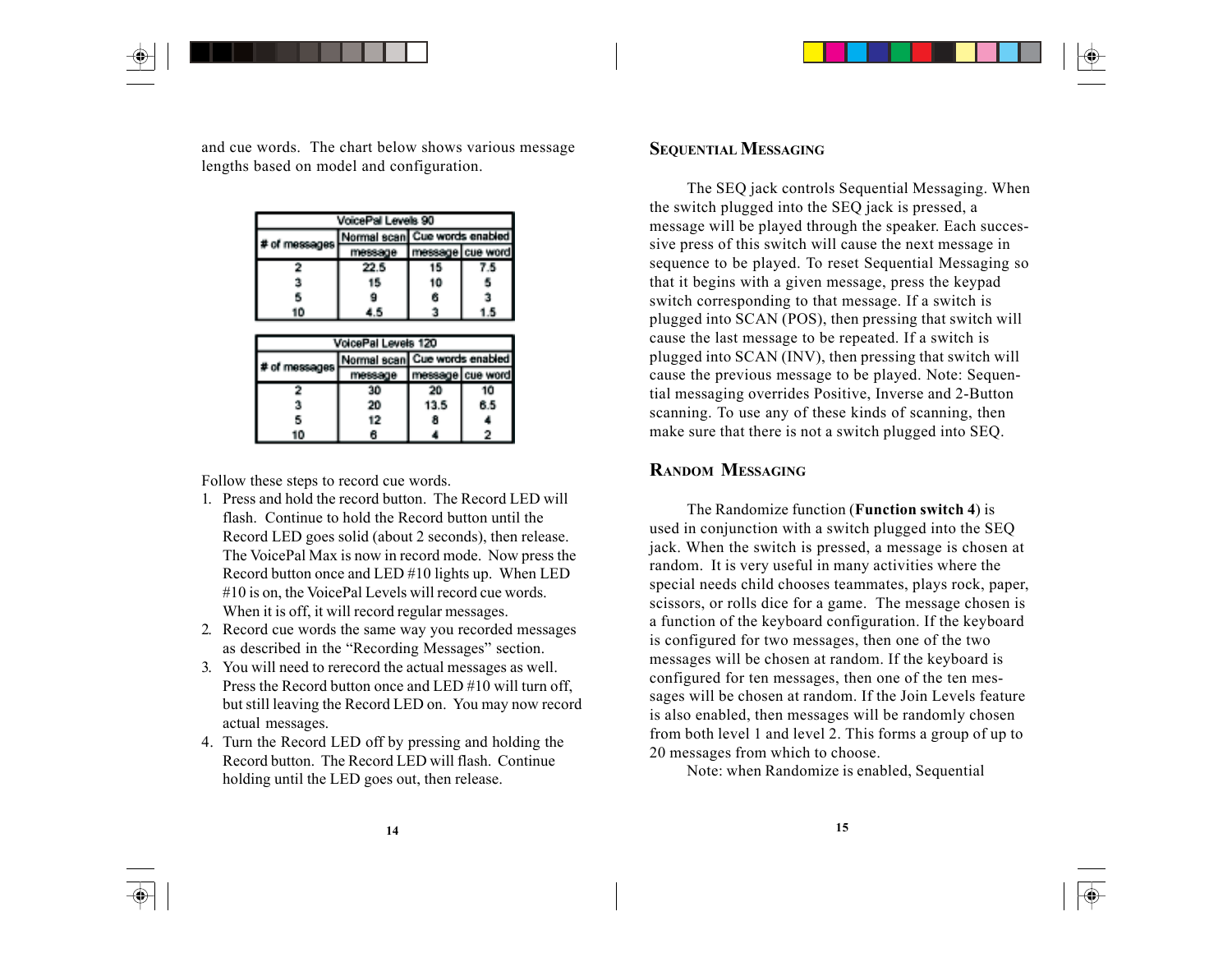and cue words. The chart below shows various message lengths based on model and configuration.

| VoicePal Levels 90 |         |                               |  |
|--------------------|---------|-------------------------------|--|
| # of messages      |         | Normal scan Cue words enabled |  |
|                    | message | message cue word              |  |
|                    | 22.5    | ۰D                            |  |
|                    | 15      | 10                            |  |
|                    |         |                               |  |
| ın                 |         |                               |  |

| VoicePal Levels 120 |          |                               |                    |
|---------------------|----------|-------------------------------|--------------------|
|                     |          | Vormal scan Cue words enabled |                    |
|                     | ттевааде |                               | nessage   cue word |
|                     | 30       | 20                            | ោ                  |
|                     | 20       | 13.5                          | 6.5                |
|                     | 12       | 8                             |                    |
| n                   |          |                               |                    |

Follow these steps to record cue words.

- 1. Press and hold the record button. The Record LED will flash. Continue to hold the Record button until the Record LED goes solid (about 2 seconds), then release. The VoicePal Max is now in record mode. Now press the Record button once and LED #10 lights up. When LED #10 is on, the VoicePal Levels will record cue words. When it is off, it will record regular messages.
- 2. Record cue words the same way you recorded messages as described in the "Recording Messages" section.
- 3. You will need to rerecord the actual messages as well. Press the Record button once and LED #10 will turn off, but still leaving the Record LED on. You may now record actual messages.
- 4. Turn the Record LED off by pressing and holding the Record button. The Record LED will flash. Continue holding until the LED goes out, then release.

# **SEQUENTIAL MESSAGING**

The SEQ jack controls Sequential Messaging. When the switch plugged into the SEQ jack is pressed, a message will be played through the speaker. Each successive press of this switch will cause the next message in sequence to be played. To reset Sequential Messaging so that it begins with a given message, press the keypad switch corresponding to that message. If a switch is plugged into SCAN (POS), then pressing that switch will cause the last message to be repeated. If a switch is plugged into SCAN (INV), then pressing that switch will cause the previous message to be played. Note: Sequential messaging overrides Positive, Inverse and 2-Button scanning. To use any of these kinds of scanning, then make sure that there is not a switch plugged into SEQ.

# **RANDOM MESSAGING**

The Randomize function (**Function switch 4**) is used in conjunction with a switch plugged into the SEQ jack. When the switch is pressed, a message is chosen at random. It is very useful in many activities where the special needs child chooses teammates, plays rock, paper, scissors, or rolls dice for a game. The message chosen is a function of the keyboard configuration. If the keyboard is configured for two messages, then one of the two messages will be chosen at random. If the keyboard is configured for ten messages, then one of the ten messages will be chosen at random. If the Join Levels feature is also enabled, then messages will be randomly chosen from both level 1 and level 2. This forms a group of up to 20 messages from which to choose.

Note: when Randomize is enabled, Sequential

◈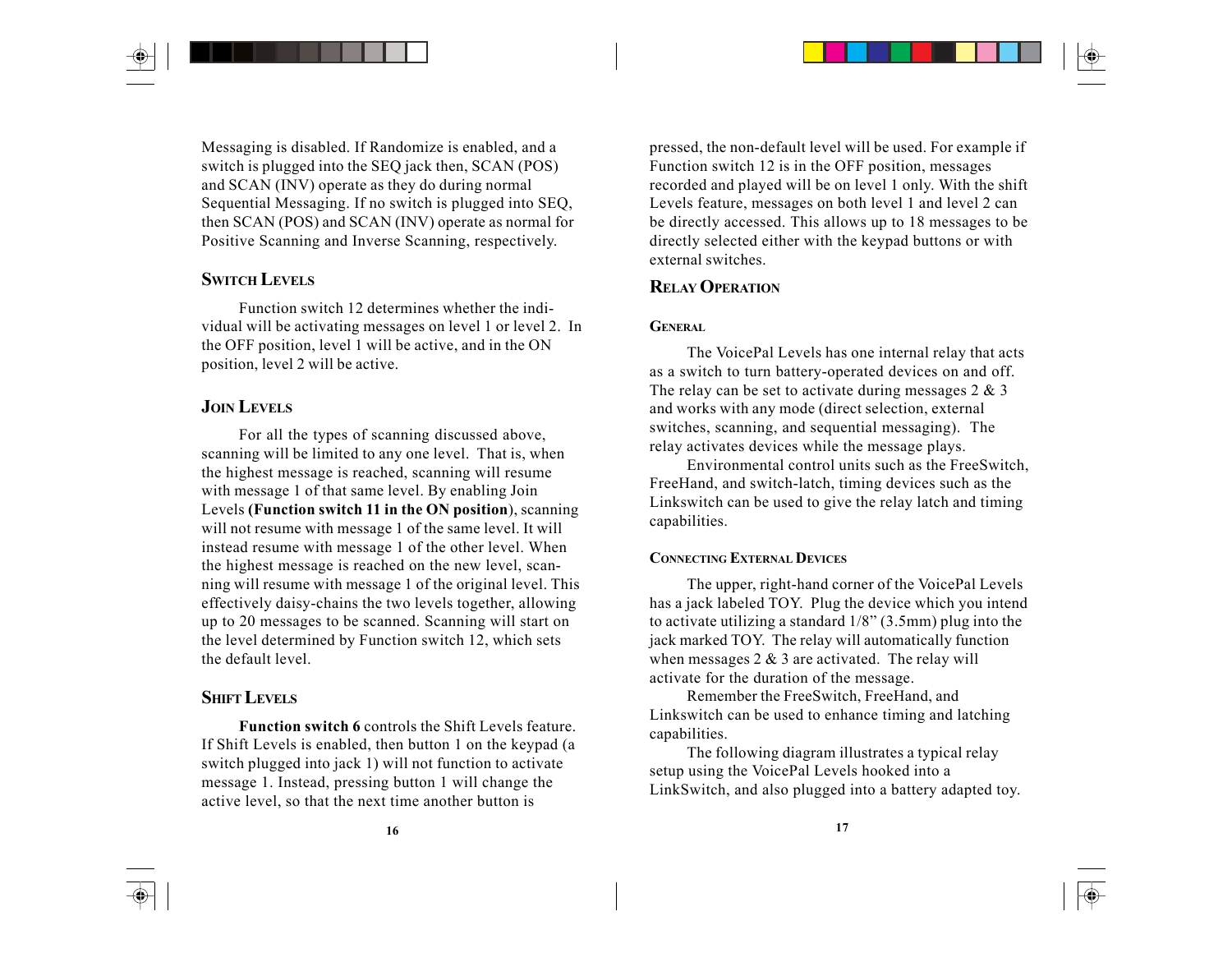Messaging is disabled. If Randomize is enabled, and a switch is plugged into the SEQ jack then, SCAN (POS) and SCAN (INV) operate as they do during normal Sequential Messaging. If no switch is plugged into SEQ, then SCAN (POS) and SCAN (INV) operate as normal for Positive Scanning and Inverse Scanning, respectively.

# **SWITCH LEVELS**

Function switch 12 determines whether the individual will be activating messages on level 1 or level 2. In the OFF position, level 1 will be active, and in the ON position, level 2 will be active.

# **JOIN LEVELS**

For all the types of scanning discussed above, scanning will be limited to any one level. That is, when the highest message is reached, scanning will resume with message 1 of that same level. By enabling Join Levels **(Function switch 11 in the ON position**), scanning will not resume with message 1 of the same level. It will instead resume with message 1 of the other level. When the highest message is reached on the new level, scanning will resume with message 1 of the original level. This effectively daisy-chains the two levels together, allowing up to 20 messages to be scanned. Scanning will start on the level determined by Function switch 12, which sets the default level.

# **SHIFT LEVELS**

**Function switch 6** controls the Shift Levels feature. If Shift Levels is enabled, then button 1 on the keypad (a switch plugged into jack 1) will not function to activate message 1. Instead, pressing button 1 will change the active level, so that the next time another button is

pressed, the non-default level will be used. For example if Function switch 12 is in the OFF position, messages recorded and played will be on level 1 only. With the shift Levels feature, messages on both level 1 and level 2 can be directly accessed. This allows up to 18 messages to be directly selected either with the keypad buttons or with external switches.

# **RELAY OPERATION**

### **GENERAL**

The VoicePal Levels has one internal relay that acts as a switch to turn battery-operated devices on and off. The relay can be set to activate during messages  $2 \& 3$ and works with any mode (direct selection, external switches, scanning, and sequential messaging). The relay activates devices while the message plays.

Environmental control units such as the FreeSwitch, FreeHand, and switch-latch, timing devices such as the Linkswitch can be used to give the relay latch and timing capabilities.

#### **CONNECTING EXTERNAL DEVICES**

The upper, right-hand corner of the VoicePal Levels has a jack labeled TOY. Plug the device which you intend to activate utilizing a standard 1/8" (3.5mm) plug into the jack marked TOY. The relay will automatically function when messages  $2 \& 3$  are activated. The relay will activate for the duration of the message.

Remember the FreeSwitch, FreeHand, and Linkswitch can be used to enhance timing and latching capabilities.

The following diagram illustrates a typical relay setup using the VoicePal Levels hooked into a LinkSwitch, and also plugged into a battery adapted toy.

◈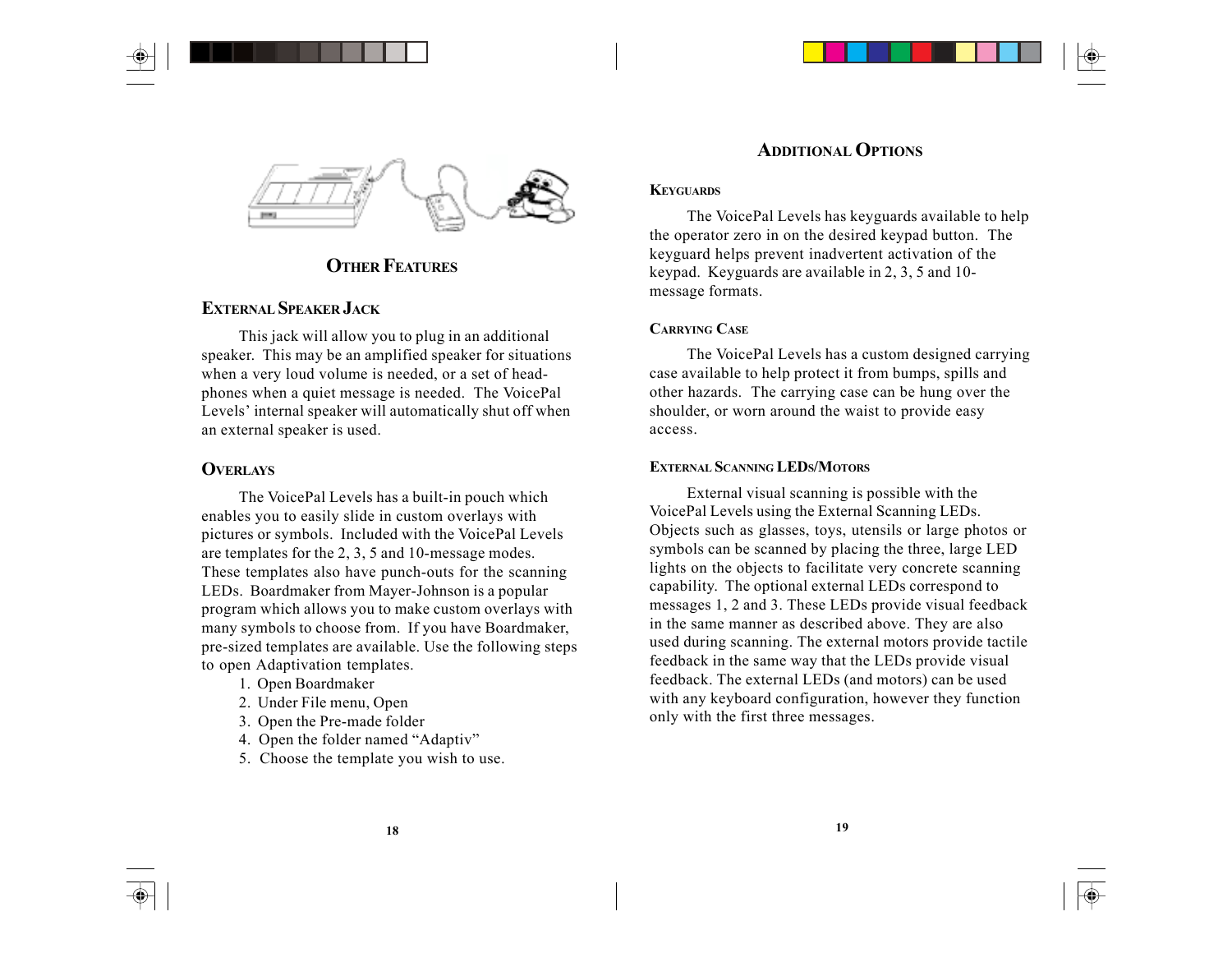

# **OTHER FEATURES**

# **EXTERNAL SPEAKER JACK**

This jack will allow you to plug in an additional speaker. This may be an amplified speaker for situations when a very loud volume is needed, or a set of headphones when a quiet message is needed. The VoicePal Levels' internal speaker will automatically shut off when an external speaker is used.

# **OVERLAYS**

The VoicePal Levels has a built-in pouch which enables you to easily slide in custom overlays with pictures or symbols. Included with the VoicePal Levels are templates for the 2, 3, 5 and 10-message modes. These templates also have punch-outs for the scanning LEDs. Boardmaker from Mayer-Johnson is a popular program which allows you to make custom overlays with many symbols to choose from. If you have Boardmaker, pre-sized templates are available. Use the following steps to open Adaptivation templates.

- 1. Open Boardmaker
- 2. Under File menu, Open
- 3. Open the Pre-made folder
- 4. Open the folder named "Adaptiv"
- 5. Choose the template you wish to use.

# **ADDITIONAL OPTIONS**

#### **KEYGUARDS**

The VoicePal Levels has keyguards available to help the operator zero in on the desired keypad button. The keyguard helps prevent inadvertent activation of the keypad. Keyguards are available in 2, 3, 5 and 10 message formats.

### **CARRYING CASE**

The VoicePal Levels has a custom designed carrying case available to help protect it from bumps, spills and other hazards. The carrying case can be hung over the shoulder, or worn around the waist to provide easy access.

#### **EXTERNAL SCANNING LEDS/MOTORS**

External visual scanning is possible with the VoicePal Levels using the External Scanning LEDs. Objects such as glasses, toys, utensils or large photos or symbols can be scanned by placing the three, large LED lights on the objects to facilitate very concrete scanning capability. The optional external LEDs correspond to messages 1, 2 and 3. These LEDs provide visual feedback in the same manner as described above. They are also used during scanning. The external motors provide tactile feedback in the same way that the LEDs provide visual feedback. The external LEDs (and motors) can be used with any keyboard configuration, however they function only with the first three messages.

 $\bigcirc$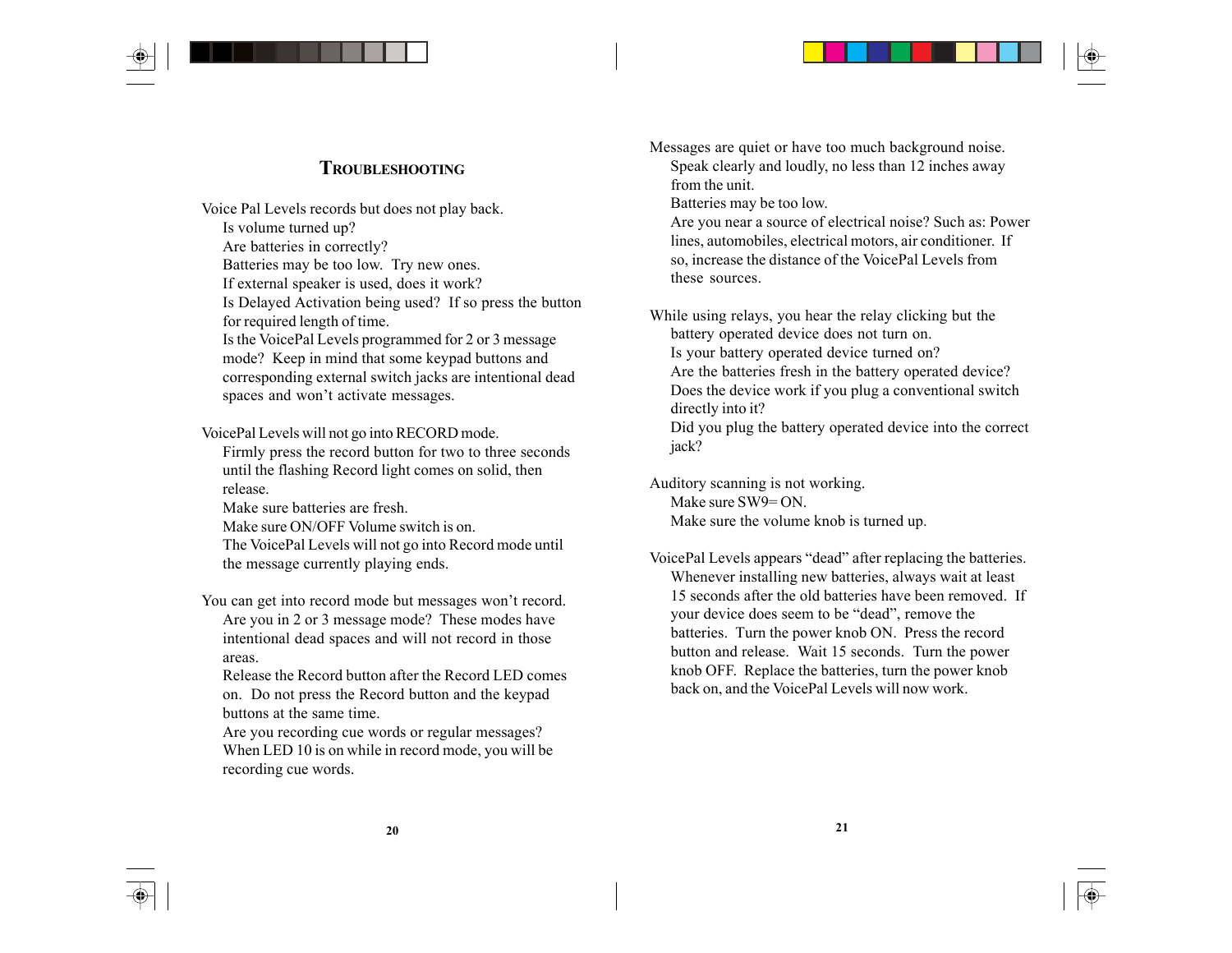# **TROUBLESHOOTING**

Voice Pal Levels records but does not play back. Is volume turned up? Are batteries in correctly? Batteries may be too low. Try new ones. If external speaker is used, does it work? Is Delayed Activation being used? If so press the button for required length of time. Is the VoicePal Levels programmed for 2 or 3 message mode? Keep in mind that some keypad buttons and corresponding external switch jacks are intentional dead spaces and won't activate messages.

VoicePal Levels will not go into RECORD mode. Firmly press the record button for two to three seconds until the flashing Record light comes on solid, then release.

Make sure batteries are fresh. Make sure ON/OFF Volume switch is on. The VoicePal Levels will not go into Record mode until the message currently playing ends.

You can get into record mode but messages won't record. Are you in 2 or 3 message mode? These modes have intentional dead spaces and will not record in those areas.

Release the Record button after the Record LED comes on. Do not press the Record button and the keypad buttons at the same time.

Are you recording cue words or regular messages? When LED 10 is on while in record mode, you will be recording cue words.

Messages are quiet or have too much background noise. Speak clearly and loudly, no less than 12 inches away from the unit.

Batteries may be too low.

Are you near a source of electrical noise? Such as: Power lines, automobiles, electrical motors, air conditioner. If so, increase the distance of the VoicePal Levels from these sources.

While using relays, you hear the relay clicking but the battery operated device does not turn on. Is your battery operated device turned on? Are the batteries fresh in the battery operated device? Does the device work if you plug a conventional switch directly into it? Did you plug the battery operated device into the correct

jack?

Auditory scanning is not working. Make sure SW9= ON. Make sure the volume knob is turned up.

VoicePal Levels appears "dead" after replacing the batteries. Whenever installing new batteries, always wait at least 15 seconds after the old batteries have been removed. If your device does seem to be "dead", remove the batteries. Turn the power knob ON. Press the record button and release. Wait 15 seconds. Turn the power knob OFF. Replace the batteries, turn the power knob back on, and the VoicePal Levels will now work.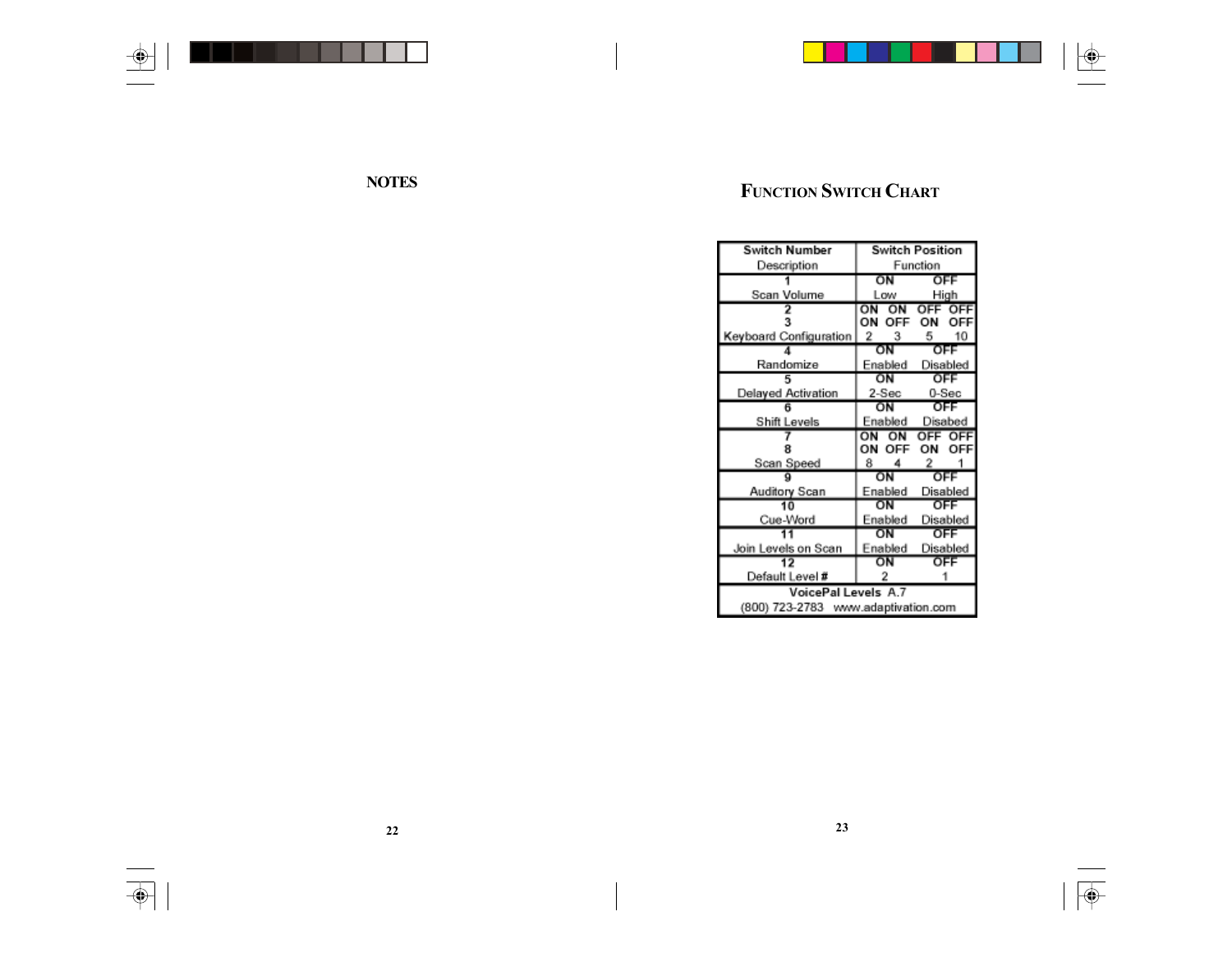



 $\bigoplus$ 

 $\sqrt{\Phi}$ 

| Switch Number                       |           | <b>Switch Position</b> |
|-------------------------------------|-----------|------------------------|
| Description                         | Function  |                        |
|                                     | ΟN        | OFF                    |
| Scan Volume                         | Low       | High                   |
|                                     | ON<br>ΟN  | OFF<br>OFF             |
| з                                   | OΝ<br>OFF | OFF                    |
| Keyboard Configuration              | -2<br>з   | 10<br>5                |
|                                     | ΟN        | OFF                    |
| Randomize                           | Enabled   | Disabled               |
|                                     | OΝ        | OFF                    |
| Delayed Activation                  | 2-Sec     | 0-Sec                  |
|                                     | OΝ        | OFF                    |
| Shift Levels                        | Enabled   | Disabed                |
|                                     | ON<br>ON  | OFF OFF                |
|                                     | OΝ<br>OFF |                        |
| Scan Speed                          | 8         | 2                      |
|                                     | ΟN        | OFF                    |
| Auditory Scan                       | Enabled   | Disabled               |
| 10                                  | ΟN        | OFF                    |
| Cue-Word                            | Enabled   | Disabled               |
|                                     | ŌΝ        | OFF                    |
| Join Levels on Scan                 | Enabled   | Disabled               |
|                                     | ΟN        | OFF                    |
| Default Level #                     |           |                        |
| <b>VoicePal Levels A.7</b>          |           |                        |
| (800) 723-2783 www.adaptivation.com |           |                        |

 $\overline{\bigoplus}$